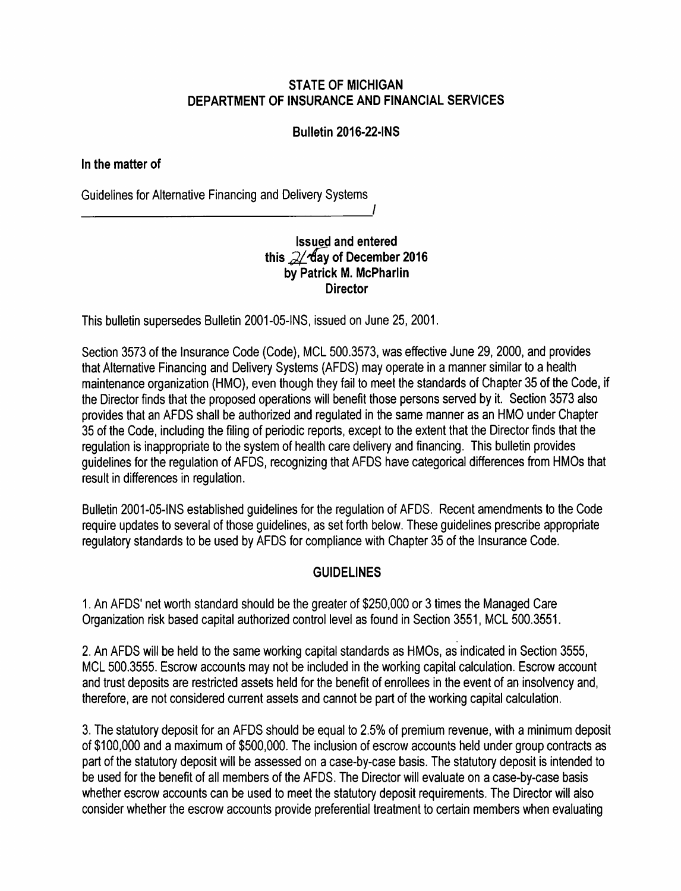# STATE OF MICHIGAN DEPARTMENT OF INSURANCE AND FINANCIAL SERVICES

### Bulletin 2016-22-INS

#### In the matter of

----------------- Guidelines for Alternative Financing and Delivery Systems

# Issued and entered this  $2/$  day of December 2016 by Patrick M. McPharlin **Director**

I

This bulletin supersedes Bulletin 2001-05-INS, issued on June 25, 2001.

Section 3573 of the Insurance Code (Code), MCL 500.3573, was effective June 29, 2000, and provides that Alternative Financing and Delivery Systems (AFDS) may operate in a manner similar to a health maintenance organization (HMO), even though they fail to meet the standards of Chapter 35 of the Code, if the Director finds that the proposed operations will benefit those persons served by it. Section 3573 also provides that an AFDS shall be authorized and regulated in the same manner as an HMO under Chapter 35 of the Code, including the filing of periodic reports, except to the extent that the Director finds that the regulation is inappropriate to the system of health care delivery and financing. This bulletin provides guidelines for the regulation of AFDS, recognizing that AFDS have categorical differences from HMOs that result in differences in regulation.

Bulletin 2001-05-INS established guidelines for the regulation of AFDS. Recent amendments to the Code require updates to several of those quidelines, as set forth below. These quidelines prescribe appropriate regulatory standards to be used by AFDS for compliance with Chapter 35 of the Insurance Code.

## GUIDELINES

1. An AFDS' net worth standard should be the greater of \$250,000 or 3 times the Managed Care Organization risk based capital authorized control level as found in Section 3551, MCL 500.3551.

2. An AFDS will be held to the same working capital standards as HMOs, as indicated in Section 3555, MCL 500.3555. Escrow accounts may not be included in the working capital calculation. Escrow account and trust deposits are restricted assets held for the benefit of enrollees in the event of an insolvency and, therefore, are not considered current assets and cannot be part of the working capital calculation.

3. The statutory deposit for an AFDS should be equal to 2.5% of premium revenue, with a minimum deposit of \$100,000 and amaximum of \$500,000. The inclusion of escrow accounts held under group contracts as part of the statutory deposit will be assessed on acase-by-case basis. The statutory deposit is intended to be used for the benefit of all members of the AFDS. The Director will evaluate on acase-by-case basis whether escrow accounts can be used to meet the statutory deposit requirements. The Director will also consider whether the escrow accounts provide preferential treatment to certain members when evaluating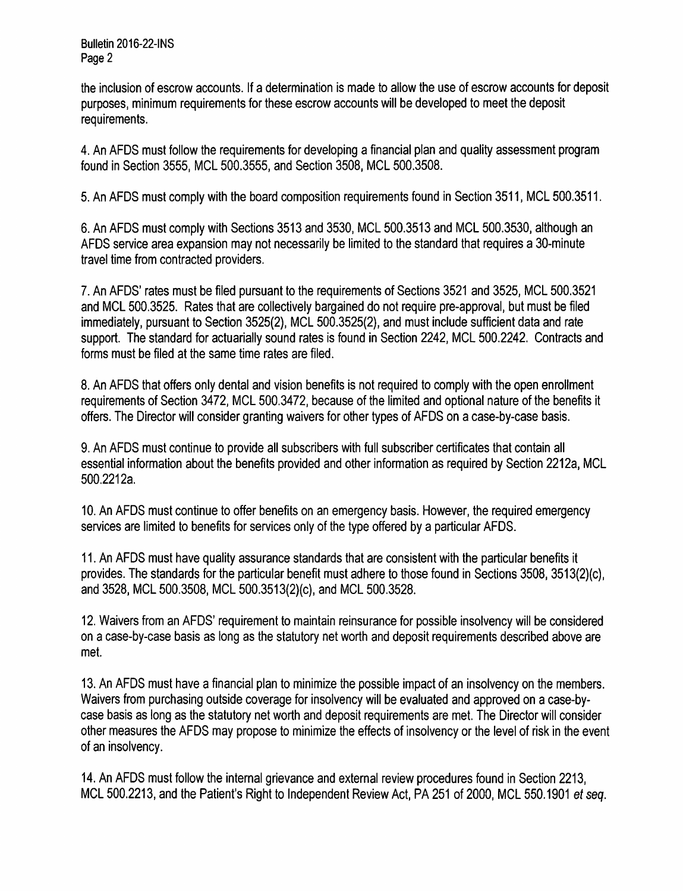Bulletin 2016-22-INS Page 2

the inclusion of escrow accounts. If a determination is made to allow the use of escrow accounts for deposit purposes, minimum requirements for these escrow accounts will be developed to meet the deposit requirements.

4. An AFDS must follow the requirements for developing afinancial plan and quality assessment program found in Section 3555, MCL 500.3555, and Section 3508, MCL 500.3508.

5. An AFDS must comply with the board composition requirements found in Section 3511, MCL 500.3511.

6. An AFDS must comply with Sections 3513 and 3530, MCL 500.3513 and MCL 500.3530, although an AFDS service area expansion may not necessarily be limited to the standard that requires a 30-minute travel time from contracted providers.

7. An AFDS' rates must be filed pursuant to the requirements of Sections 3521 and 3525, MCL 500.3521 and MCL 500.3525. Rates that are collectively bargained do not require pre-approval, but must be filed immediately, pursuant to Section 3525(2), MCL 500.3525(2), and must include sufficient data and rate support. The standard for actuarially sound rates is found in Section 2242, MCL 500.2242. Contracts and forms must be filed at the same time rates are filed.

8. An AFDS that offers only dental and vision benefits is not required to comply with the open enrollment requirements of Section 3472, MCL 500.3472, because of the limited and optional nature of the benefits it offers. The Director will consider granting waivers for other types of AFDS on acase-by-case basis.

9. An AFDS must continue to provide all subscribers with full subscriber certificates that contain all essential information about the benefits provided and other information as required by Section 2212a, MCL 500.2212a.

10. An AFDS must continue to offer benefits on an emergency basis. However, the required emergency services are limited to benefits for services only of the type offered by a particular AFDS.

11. An AFDS must have quality assurance standards that are consistent with the particular benefits it provides. The standards for the particular benefit must adhere to those found in Sections 3508, 3513(2)(c), and 3528, MCL 500.3508, MCL 500.3513(2)(c), and MCL 500.3528.

12. Waivers from an AFDS' requirement to maintain reinsurance for possible insolvency will be considered on acase-by-case basis as long as the statutory net worth and deposit requirements described above are met.

13. An AFDS must have afinancial plan to minimize the possible impact of an insolvency on the members. Waivers from purchasing outside coverage for insolvency will be evaluated and approved on a case-bycase basis as long as the statutory net worth and deposit requirements are met. The Director will consider other measures the AFDS may propose to minimize the effects of insolvency or the level of risk in the event of an insolvency.

14. An AFDS must follow the internal grievance and external review procedures found in Section 2213, MCL 500.2213, and the Patient's Right to Independent Review Act, PA 251 of 2000, MCL 550.1901 et seq.